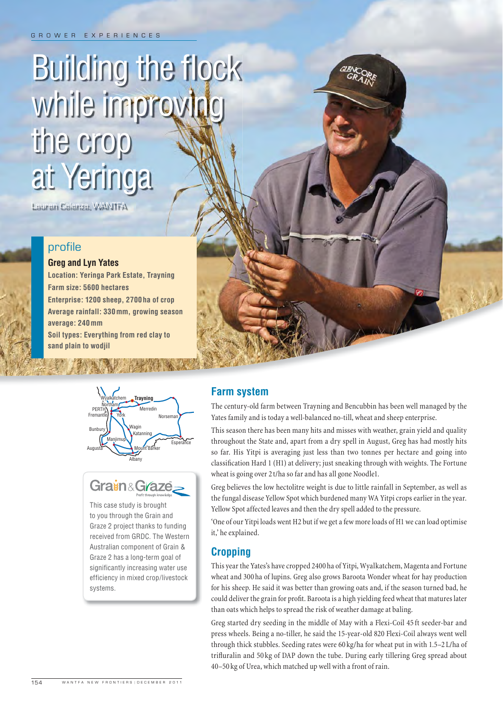# **Building the flock** while improving the crop at Yeringa

Lauren Celenza, WANTFA

# profile

#### **Greg and Lyn Yates**

**Location: Yeringa Park Estate, Trayning Farm size: 5600 hectares Enterprise: 1200 sheep, 2700 ha of crop Average rainfall: 330 mm, growing season average: 240 mm**

**Soil types: Everything from red clay to sand plain to wodjil**





This case study is brought to you through the Grain and Graze 2 project thanks to funding received from GRDC. The Western Australian component of Grain & Graze 2 has a long-term goal of significantly increasing water use efficiency in mixed crop/livestock systems.

# **Farm system**

The century-old farm between Trayning and Bencubbin has been well managed by the Yates family and is today a well-balanced no-till, wheat and sheep enterprise.

This season there has been many hits and misses with weather, grain yield and quality throughout the State and, apart from a dry spell in August, Greg has had mostly hits so far. His Yitpi is averaging just less than two tonnes per hectare and going into classification Hard 1 (H1) at delivery; just sneaking through with weights. The Fortune wheat is going over 2 t/ha so far and has all gone Noodle1.

Greg believes the low hectolitre weight is due to little rainfall in September, as well as the fungal disease Yellow Spot which burdened many WA Yitpi crops earlier in the year. Yellow Spot affected leaves and then the dry spell added to the pressure.

'One of our Yitpi loads went H2 but if we get a few more loads of H1 we can load optimise it,' he explained.

# **Cropping**

This year the Yates's have cropped 2400 ha of Yitpi, Wyalkatchem, Magenta and Fortune wheat and 300 ha of lupins. Greg also grows Baroota Wonder wheat for hay production for his sheep. He said it was better than growing oats and, if the season turned bad, he could deliver the grain for profit. Baroota is a high yielding feed wheat that matures later than oats which helps to spread the risk of weather damage at baling.

Greg started dry seeding in the middle of May with a Flexi-Coil 45 ft seeder-bar and press wheels. Being a no-tiller, he said the 15-year-old 820 Flexi-Coil always went well through thick stubbles. Seeding rates were 60 kg/ha for wheat put in with 1.5–2 L/ha of trifluralin and 50 kg of DAP down the tube. During early tillering Greg spread about 40–50 kg of Urea, which matched up well with a front of rain.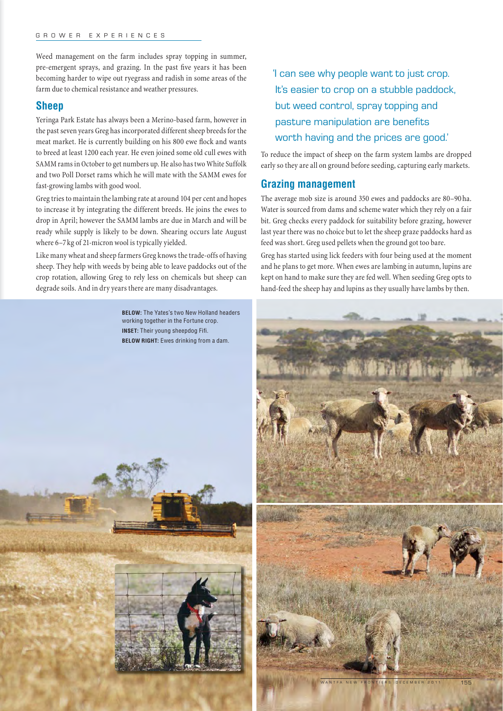#### GROWER EXPERIENCES

Weed management on the farm includes spray topping in summer, pre-emergent sprays, and grazing. In the past five years it has been becoming harder to wipe out ryegrass and radish in some areas of the farm due to chemical resistance and weather pressures.

## **Sheep**

Yeringa Park Estate has always been a Merino-based farm, however in the past seven years Greg has incorporated different sheep breeds for the meat market. He is currently building on his 800 ewe flock and wants to breed at least 1200 each year. He even joined some old cull ewes with SAMM rams in October to get numbers up. He also has two White Suffolk and two Poll Dorset rams which he will mate with the SAMM ewes for fast-growing lambs with good wool.

Greg tries to maintain the lambing rate at around 104 per cent and hopes to increase it by integrating the different breeds. He joins the ewes to drop in April; however the SAMM lambs are due in March and will be ready while supply is likely to be down. Shearing occurs late August where 6–7 kg of 21-micron wool is typically yielded.

Like many wheat and sheep farmers Greg knows the trade-offs of having sheep. They help with weeds by being able to leave paddocks out of the crop rotation, allowing Greg to rely less on chemicals but sheep can degrade soils. And in dry years there are many disadvantages.

> **BELOW:** The Yates's two New Holland headers working together in the Fortune crop. **INSET:** Their young sheepdog Fifi. **BELOW RIGHT:** Ewes drinking from a dam.

'I can see why people want to just crop. It's easier to crop on a stubble paddock, but weed control, spray topping and pasture manipulation are benefits worth having and the prices are good.'

To reduce the impact of sheep on the farm system lambs are dropped early so they are all on ground before seeding, capturing early markets.

## **Grazing management**

The average mob size is around 350 ewes and paddocks are 80–90 ha. Water is sourced from dams and scheme water which they rely on a fair bit. Greg checks every paddock for suitability before grazing, however last year there was no choice but to let the sheep graze paddocks hard as feed was short. Greg used pellets when the ground got too bare.

Greg has started using lick feeders with four being used at the moment and he plans to get more. When ewes are lambing in autumn, lupins are kept on hand to make sure they are fed well. When seeding Greg opts to hand-feed the sheep hay and lupins as they usually have lambs by then.